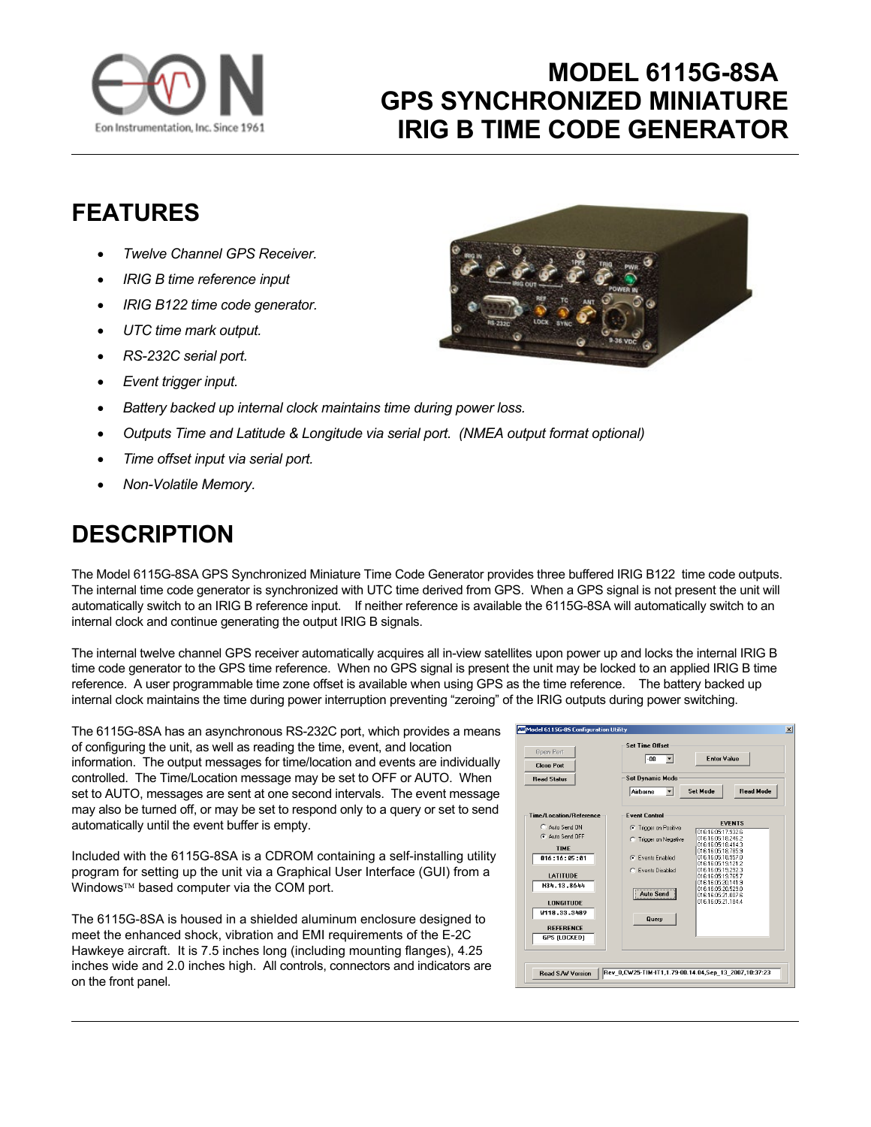

## **MODEL 6115G-8SA GPS SYNCHRONIZED MINIATURE IRIG B TIME CODE GENERATOR**

## **FEATURES**

- *Twelve Channel GPS Receiver.*
- *IRIG B time reference input*
- *IRIG B122 time code generator.*
- *UTC time mark output.*
- *RS-232C serial port.*
- *Event trigger input.*
- *Battery backed up internal clock maintains time during power loss.*
- *Outputs Time and Latitude & Longitude via serial port. (NMEA output format optional)*
- *Time offset input via serial port.*
- *Non-Volatile Memory.*

## **DESCRIPTION**

The Model 6115G-8SA GPS Synchronized Miniature Time Code Generator provides three buffered IRIG B122 time code outputs. The internal time code generator is synchronized with UTC time derived from GPS. When a GPS signal is not present the unit will automatically switch to an IRIG B reference input. If neither reference is available the 6115G-8SA will automatically switch to an internal clock and continue generating the output IRIG B signals.

The internal twelve channel GPS receiver automatically acquires all in-view satellites upon power up and locks the internal IRIG B time code generator to the GPS time reference. When no GPS signal is present the unit may be locked to an applied IRIG B time reference. A user programmable time zone offset is available when using GPS as the time reference. The battery backed up internal clock maintains the time during power interruption preventing "zeroing" of the IRIG outputs during power switching.

The 6115G-8SA has an asynchronous RS-232C port, which provides a means of configuring the unit, as well as reading the time, event, and location information. The output messages for time/location and events are individually controlled. The Time/Location message may be set to OFF or AUTO. When set to AUTO, messages are sent at one second intervals. The event message may also be turned off, or may be set to respond only to a query or set to send automatically until the event buffer is empty.

Included with the 6115G-8SA is a CDROM containing a self-installing utility program for setting up the unit via a Graphical User Interface (GUI) from a Windows<sup>™</sup> based computer via the COM port.

The 6115G-8SA is housed in a shielded aluminum enclosure designed to meet the enhanced shock, vibration and EMI requirements of the E-2C Hawkeye aircraft. It is 7.5 inches long (including mounting flanges), 4.25 inches wide and 2.0 inches high. All controls, connectors and indicators are on the front panel.